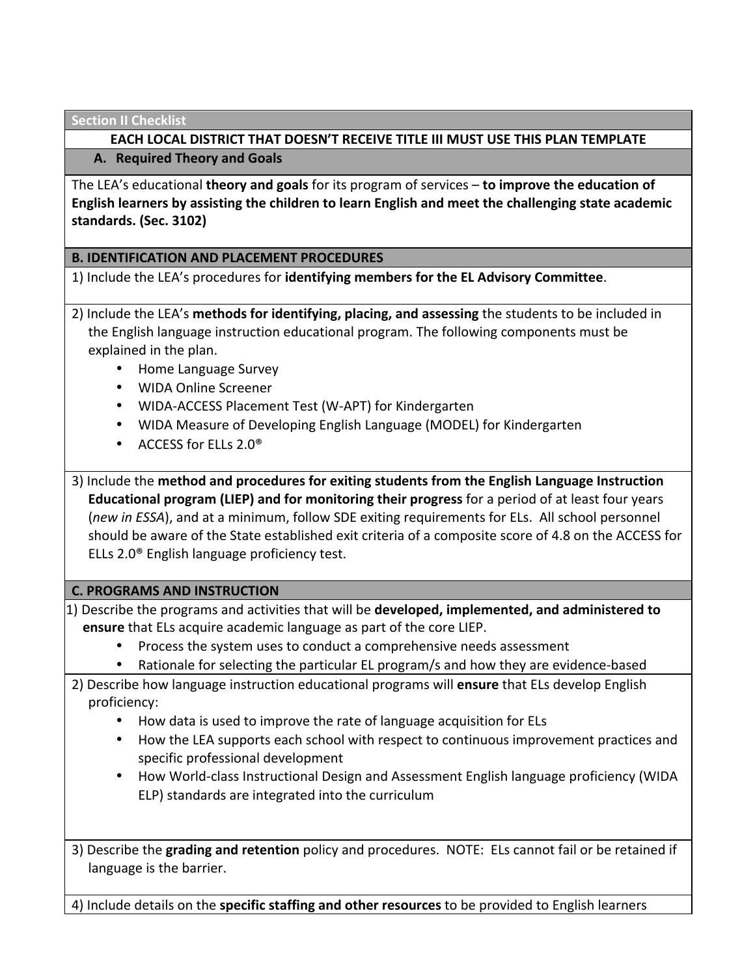**Section II Checklist** 

## **EACH LOCAL DISTRICT THAT DOESN'T RECEIVE TITLE III MUST USE THIS PLAN TEMPLATE**

**A. Required Theory and Goals**

The LEA's educational **theory and goals** for its program of services – **to improve the education of** English learners by assisting the children to learn English and meet the challenging state academic **standards. (Sec. 3102)**

## **B. IDENTIFICATION AND PLACEMENT PROCEDURES**

1) Include the LEA's procedures for identifying members for the EL Advisory Committee.

2) Include the LEA's **methods for identifying, placing, and assessing** the students to be included in the English language instruction educational program. The following components must be explained in the plan.

- Home Language Survey
- WIDA Online Screener
- WIDA-ACCESS Placement Test (W-APT) for Kindergarten
- WIDA Measure of Developing English Language (MODEL) for Kindergarten
- ACCESS for FLLs  $2.0^\circ$

3) Include the method and procedures for exiting students from the English Language Instruction **Educational program (LIEP) and for monitoring their progress** for a period of at least four years (*new in ESSA*), and at a minimum, follow SDE exiting requirements for ELs. All school personnel should be aware of the State established exit criteria of a composite score of 4.8 on the ACCESS for ELLs  $2.0^\circ$  English language proficiency test.

## **C. PROGRAMS AND INSTRUCTION**

1) Describe the programs and activities that will be **developed, implemented, and administered to ensure** that ELs acquire academic language as part of the core LIEP.

- Process the system uses to conduct a comprehensive needs assessment
- Rationale for selecting the particular EL program/s and how they are evidence-based
- 2) Describe how language instruction educational programs will **ensure** that ELs develop English proficiency:
	- How data is used to improve the rate of language acquisition for ELs
	- How the LEA supports each school with respect to continuous improvement practices and specific professional development
	- How World-class Instructional Design and Assessment English language proficiency (WIDA ELP) standards are integrated into the curriculum

3) Describe the grading and retention policy and procedures. NOTE: ELs cannot fail or be retained if language is the barrier.

4) Include details on the **specific staffing and other resources** to be provided to English learners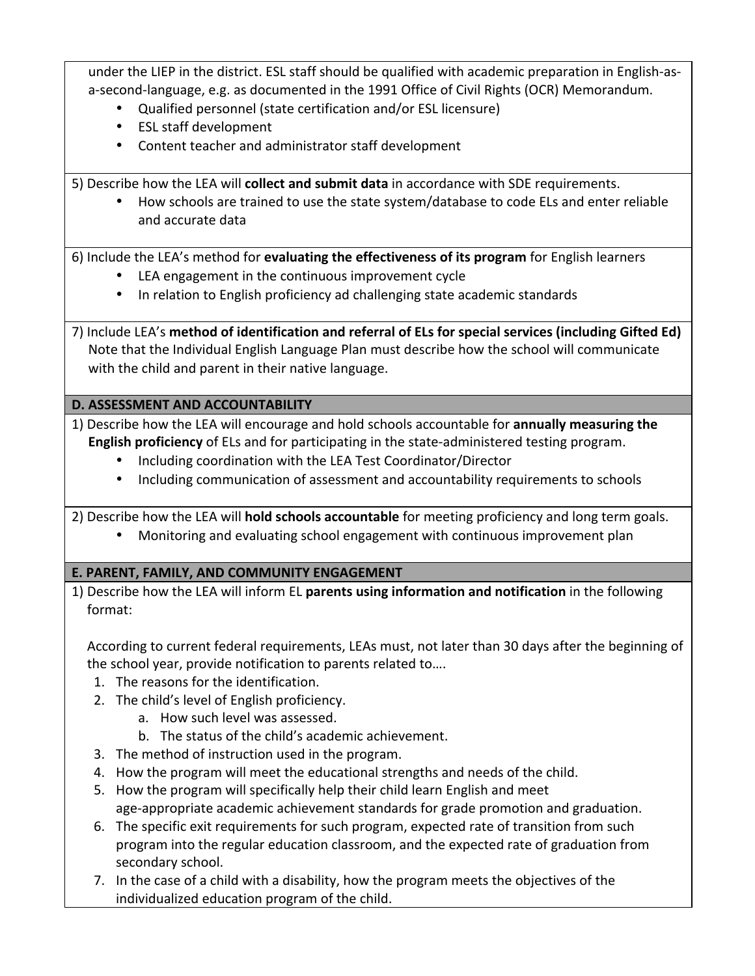under the LIEP in the district. ESL staff should be qualified with academic preparation in English-asa-second-language, e.g. as documented in the 1991 Office of Civil Rights (OCR) Memorandum.

- Qualified personnel (state certification and/or ESL licensure)
- ESL staff development
- Content teacher and administrator staff development

5) Describe how the LEA will **collect and submit data** in accordance with SDE requirements.

How schools are trained to use the state system/database to code ELs and enter reliable and accurate data 

6) Include the LEA's method for **evaluating the effectiveness of its program** for English learners

- LEA engagement in the continuous improvement cycle
- In relation to English proficiency ad challenging state academic standards

7) Include LEA's method of identification and referral of ELs for special services (including Gifted Ed) Note that the Individual English Language Plan must describe how the school will communicate with the child and parent in their native language.

## **D. ASSESSMENT AND ACCOUNTABILITY**

1) Describe how the LEA will encourage and hold schools accountable for **annually measuring the English proficiency** of ELs and for participating in the state-administered testing program.

- Including coordination with the LEA Test Coordinator/Director
- Including communication of assessment and accountability requirements to schools

2) Describe how the LEA will **hold schools accountable** for meeting proficiency and long term goals.

Monitoring and evaluating school engagement with continuous improvement plan

# **E. PARENT, FAMILY, AND COMMUNITY ENGAGEMENT**

1) Describe how the LEA will inform EL **parents using information and notification** in the following format: 

According to current federal requirements, LEAs must, not later than 30 days after the beginning of the school year, provide notification to parents related to....

- 1. The reasons for the identification.
- 2. The child's level of English proficiency.
	- a. How such level was assessed.
	- b. The status of the child's academic achievement.
- 3. The method of instruction used in the program.
- 4. How the program will meet the educational strengths and needs of the child.
- 5. How the program will specifically help their child learn English and meet age-appropriate academic achievement standards for grade promotion and graduation.
- 6. The specific exit requirements for such program, expected rate of transition from such program into the regular education classroom, and the expected rate of graduation from secondary school.
- 7. In the case of a child with a disability, how the program meets the objectives of the individualized education program of the child.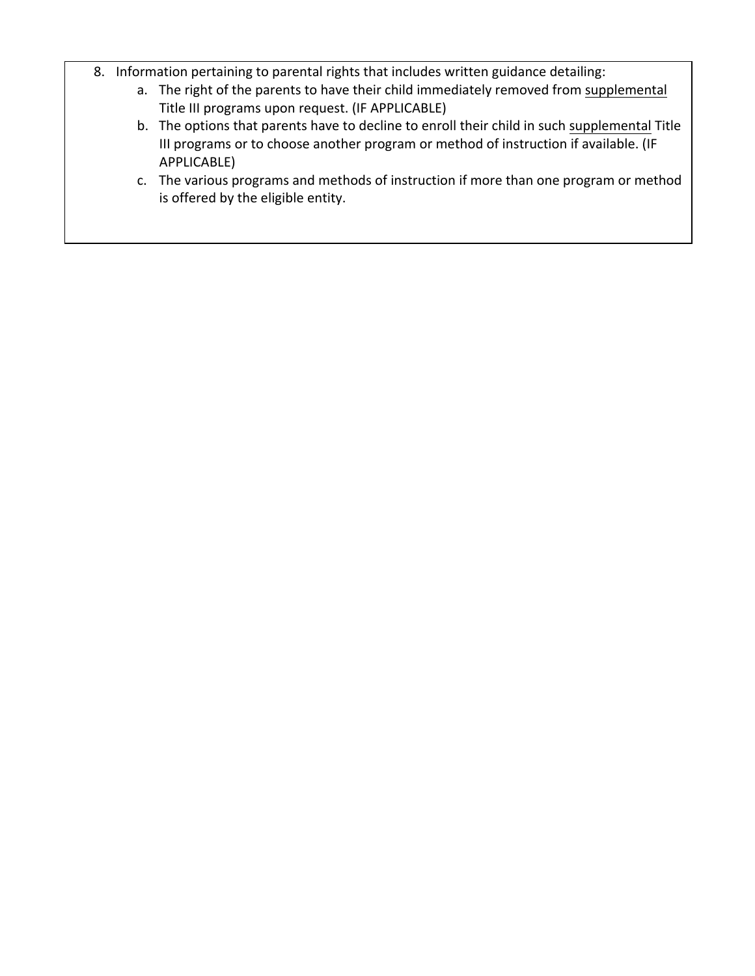- 8. Information pertaining to parental rights that includes written guidance detailing:
	- a. The right of the parents to have their child immediately removed from supplemental Title III programs upon request. (IF APPLICABLE)
	- b. The options that parents have to decline to enroll their child in such supplemental Title III programs or to choose another program or method of instruction if available. (IF APPLICABLE)
	- c. The various programs and methods of instruction if more than one program or method is offered by the eligible entity.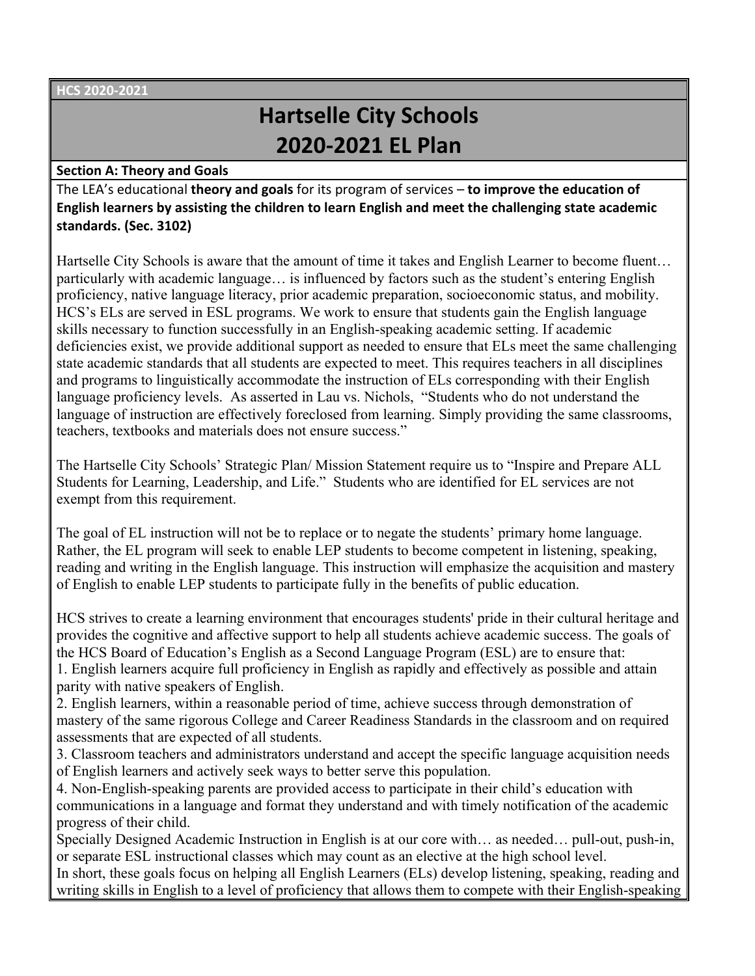# **Hartselle City Schools 2020-2021 EL Plan**

#### **Section A: Theory and Goals**

The LEA's educational **theory and goals** for its program of services – to improve the education of **English learners by assisting the children to learn English and meet the challenging state academic standards. (Sec. 3102)**

Hartselle City Schools is aware that the amount of time it takes and English Learner to become fluent… particularly with academic language… is influenced by factors such as the student's entering English proficiency, native language literacy, prior academic preparation, socioeconomic status, and mobility. HCS's ELs are served in ESL programs. We work to ensure that students gain the English language skills necessary to function successfully in an English-speaking academic setting. If academic deficiencies exist, we provide additional support as needed to ensure that ELs meet the same challenging state academic standards that all students are expected to meet. This requires teachers in all disciplines and programs to linguistically accommodate the instruction of ELs corresponding with their English language proficiency levels. As asserted in Lau vs. Nichols, "Students who do not understand the language of instruction are effectively foreclosed from learning. Simply providing the same classrooms, teachers, textbooks and materials does not ensure success."

The Hartselle City Schools' Strategic Plan/ Mission Statement require us to "Inspire and Prepare ALL Students for Learning, Leadership, and Life." Students who are identified for EL services are not exempt from this requirement.

The goal of EL instruction will not be to replace or to negate the students' primary home language. Rather, the EL program will seek to enable LEP students to become competent in listening, speaking, reading and writing in the English language. This instruction will emphasize the acquisition and mastery of English to enable LEP students to participate fully in the benefits of public education.

HCS strives to create a learning environment that encourages students' pride in their cultural heritage and provides the cognitive and affective support to help all students achieve academic success. The goals of the HCS Board of Education's English as a Second Language Program (ESL) are to ensure that: 1. English learners acquire full proficiency in English as rapidly and effectively as possible and attain parity with native speakers of English.

2. English learners, within a reasonable period of time, achieve success through demonstration of mastery of the same rigorous College and Career Readiness Standards in the classroom and on required assessments that are expected of all students.

3. Classroom teachers and administrators understand and accept the specific language acquisition needs of English learners and actively seek ways to better serve this population.

4. Non-English-speaking parents are provided access to participate in their child's education with communications in a language and format they understand and with timely notification of the academic progress of their child.

Specially Designed Academic Instruction in English is at our core with… as needed… pull-out, push-in, or separate ESL instructional classes which may count as an elective at the high school level.

In short, these goals focus on helping all English Learners (ELs) develop listening, speaking, reading and writing skills in English to a level of proficiency that allows them to compete with their English-speaking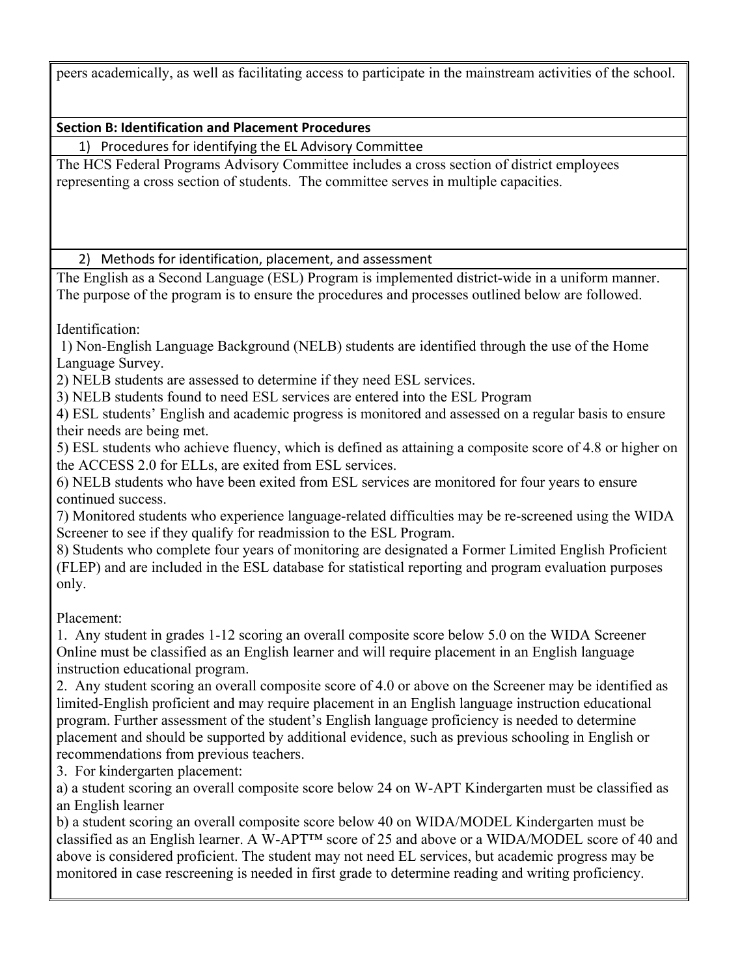peers academically, as well as facilitating access to participate in the mainstream activities of the school.

## **Section B: Identification and Placement Procedures**

1) Procedures for identifying the EL Advisory Committee

The HCS Federal Programs Advisory Committee includes a cross section of district employees representing a cross section of students. The committee serves in multiple capacities.

2) Methods for identification, placement, and assessment

The English as a Second Language (ESL) Program is implemented district-wide in a uniform manner. The purpose of the program is to ensure the procedures and processes outlined below are followed.

Identification:

1) Non-English Language Background (NELB) students are identified through the use of the Home Language Survey.

2) NELB students are assessed to determine if they need ESL services.

3) NELB students found to need ESL services are entered into the ESL Program

4) ESL students' English and academic progress is monitored and assessed on a regular basis to ensure their needs are being met.

5) ESL students who achieve fluency, which is defined as attaining a composite score of 4.8 or higher on the ACCESS 2.0 for ELLs, are exited from ESL services.

6) NELB students who have been exited from ESL services are monitored for four years to ensure continued success.

7) Monitored students who experience language-related difficulties may be re-screened using the WIDA Screener to see if they qualify for readmission to the ESL Program.

8) Students who complete four years of monitoring are designated a Former Limited English Proficient (FLEP) and are included in the ESL database for statistical reporting and program evaluation purposes only.

Placement:

1. Any student in grades 1-12 scoring an overall composite score below 5.0 on the WIDA Screener Online must be classified as an English learner and will require placement in an English language instruction educational program.

2. Any student scoring an overall composite score of 4.0 or above on the Screener may be identified as limited-English proficient and may require placement in an English language instruction educational program. Further assessment of the student's English language proficiency is needed to determine placement and should be supported by additional evidence, such as previous schooling in English or recommendations from previous teachers.

3. For kindergarten placement:

a) a student scoring an overall composite score below 24 on W-APT Kindergarten must be classified as an English learner

b) a student scoring an overall composite score below 40 on WIDA/MODEL Kindergarten must be classified as an English learner. A W-APT™ score of 25 and above or a WIDA/MODEL score of 40 and above is considered proficient. The student may not need EL services, but academic progress may be monitored in case rescreening is needed in first grade to determine reading and writing proficiency.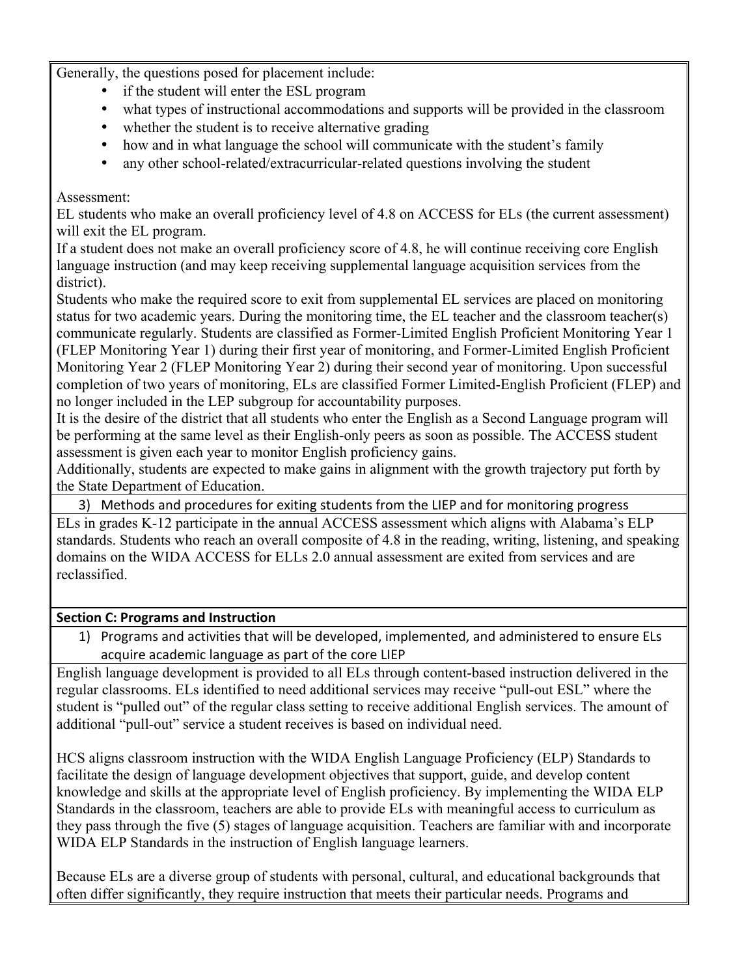Generally, the questions posed for placement include:

- if the student will enter the ESL program
- what types of instructional accommodations and supports will be provided in the classroom
- whether the student is to receive alternative grading
- how and in what language the school will communicate with the student's family
- any other school-related/extracurricular-related questions involving the student

## Assessment:

EL students who make an overall proficiency level of 4.8 on ACCESS for ELs (the current assessment) will exit the EL program.

If a student does not make an overall proficiency score of 4.8, he will continue receiving core English language instruction (and may keep receiving supplemental language acquisition services from the district).

Students who make the required score to exit from supplemental EL services are placed on monitoring status for two academic years. During the monitoring time, the EL teacher and the classroom teacher(s) communicate regularly. Students are classified as Former-Limited English Proficient Monitoring Year 1 (FLEP Monitoring Year 1) during their first year of monitoring, and Former-Limited English Proficient Monitoring Year 2 (FLEP Monitoring Year 2) during their second year of monitoring. Upon successful completion of two years of monitoring, ELs are classified Former Limited-English Proficient (FLEP) and no longer included in the LEP subgroup for accountability purposes.

It is the desire of the district that all students who enter the English as a Second Language program will be performing at the same level as their English-only peers as soon as possible. The ACCESS student assessment is given each year to monitor English proficiency gains.

Additionally, students are expected to make gains in alignment with the growth trajectory put forth by the State Department of Education.

3) Methods and procedures for exiting students from the LIEP and for monitoring progress

ELs in grades K-12 participate in the annual ACCESS assessment which aligns with Alabama's ELP standards. Students who reach an overall composite of 4.8 in the reading, writing, listening, and speaking domains on the WIDA ACCESS for ELLs 2.0 annual assessment are exited from services and are reclassified.

## **Section C: Programs and Instruction**

1) Programs and activities that will be developed, implemented, and administered to ensure ELs acquire academic language as part of the core LIEP

English language development is provided to all ELs through content-based instruction delivered in the regular classrooms. ELs identified to need additional services may receive "pull-out ESL" where the student is "pulled out" of the regular class setting to receive additional English services. The amount of additional "pull-out" service a student receives is based on individual need.

HCS aligns classroom instruction with the WIDA English Language Proficiency (ELP) Standards to facilitate the design of language development objectives that support, guide, and develop content knowledge and skills at the appropriate level of English proficiency. By implementing the WIDA ELP Standards in the classroom, teachers are able to provide ELs with meaningful access to curriculum as they pass through the five (5) stages of language acquisition. Teachers are familiar with and incorporate WIDA ELP Standards in the instruction of English language learners.

Because ELs are a diverse group of students with personal, cultural, and educational backgrounds that often differ significantly, they require instruction that meets their particular needs. Programs and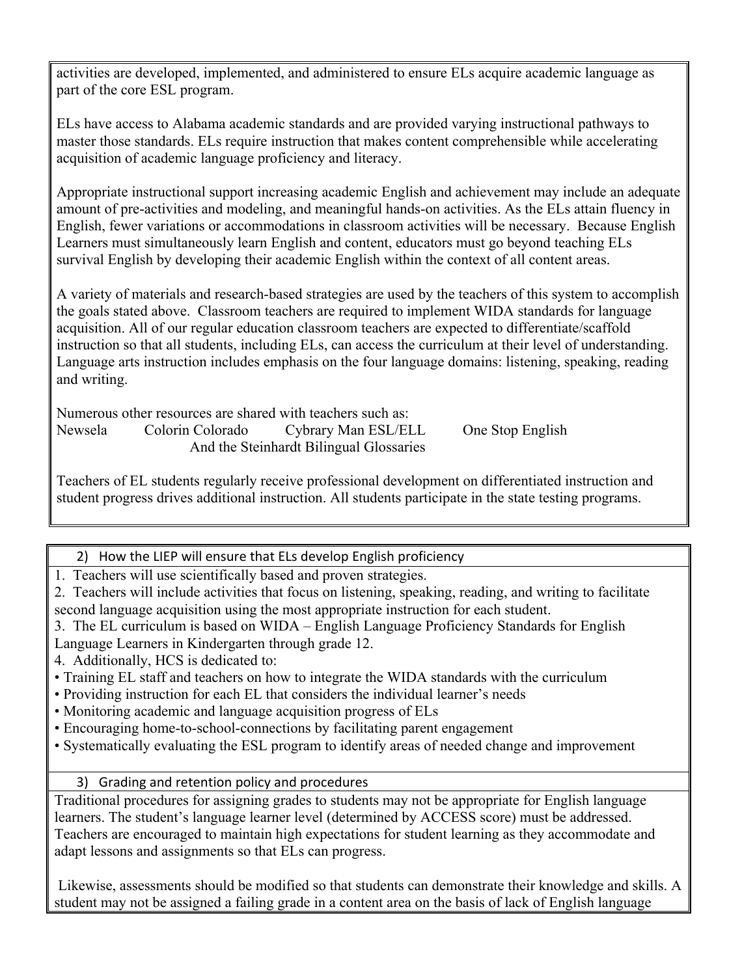activities are developed, implemented, and administered to ensure ELs acquire academic language as part of the core ESL program.

ELs have access to Alabama academic standards and are provided varying instructional pathways to master those standards. ELs require instruction that makes content comprehensible while accelerating acquisition of academic language proficiency and literacy.

Appropriate instructional support increasing academic English and achievement may include an adequate amount of pre-activities and modeling, and meaningful hands-on activities. As the ELs attain fluency in English, fewer variations or accommodations in classroom activities will be necessary. Because English Learners must simultaneously learn English and content, educators must go beyond teaching ELs survival English by developing their academic English within the context of all content areas.

A variety of materials and research-based strategies are used by the teachers of this system to accomplish the goals stated above. Classroom teachers are required to implement WIDA standards for language acquisition. All of our regular education classroom teachers are expected to differentiate/scaffold instruction so that all students, including ELs, can access the curriculum at their level of understanding. Language arts instruction includes emphasis on the four language domains: listening, speaking, reading and writing.

Numerous other resources are shared with teachers such as:

Newsela Colorin Colorado Cybrary Man ESL/ELL One Stop English

Teachers of EL students regularly receive professional development on differentiated instruction and student progress drives additional instruction. All students participate in the state testing programs.

And the Steinhardt Bilingual Glossaries

2) How the LIEP will ensure that ELs develop English proficiency

1. Teachers will use scientifically based and proven strategies.

2. Teachers will include activities that focus on listening, speaking, reading, and writing to facilitate second language acquisition using the most appropriate instruction for each student.

3. The EL curriculum is based on WIDA – English Language Proficiency Standards for English

Language Learners in Kindergarten through grade 12.

4. Additionally, HCS is dedicated to:

• Training EL staff and teachers on how to integrate the WIDA standards with the curriculum

• Providing instruction for each EL that considers the individual learner's needs

• Monitoring academic and language acquisition progress of ELs

- Encouraging home-to-school-connections by facilitating parent engagement
- Systematically evaluating the ESL program to identify areas of needed change and improvement
	- 3) Grading and retention policy and procedures

Traditional procedures for assigning grades to students may not be appropriate for English language learners. The student's language learner level (determined by ACCESS score) must be addressed. Teachers are encouraged to maintain high expectations for student learning as they accommodate and adapt lessons and assignments so that ELs can progress.

Likewise, assessments should be modified so that students can demonstrate their knowledge and skills. A student may not be assigned a failing grade in a content area on the basis of lack of English language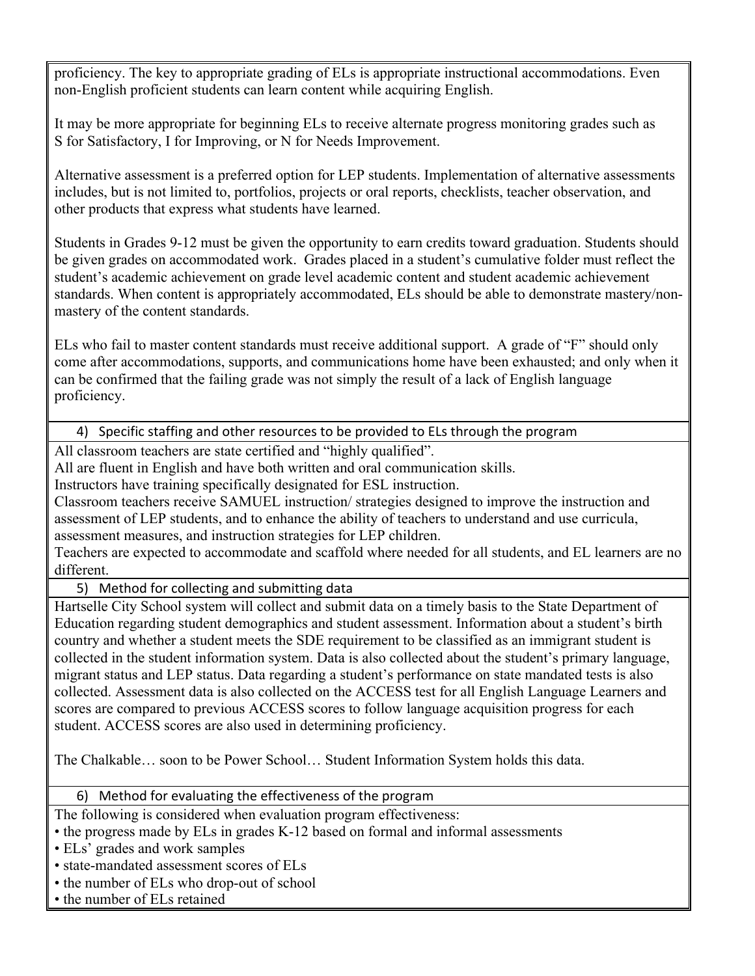proficiency. The key to appropriate grading of ELs is appropriate instructional accommodations. Even non-English proficient students can learn content while acquiring English.

It may be more appropriate for beginning ELs to receive alternate progress monitoring grades such as S for Satisfactory, I for Improving, or N for Needs Improvement.

Alternative assessment is a preferred option for LEP students. Implementation of alternative assessments includes, but is not limited to, portfolios, projects or oral reports, checklists, teacher observation, and other products that express what students have learned.

Students in Grades 9-12 must be given the opportunity to earn credits toward graduation. Students should be given grades on accommodated work. Grades placed in a student's cumulative folder must reflect the student's academic achievement on grade level academic content and student academic achievement standards. When content is appropriately accommodated, ELs should be able to demonstrate mastery/nonmastery of the content standards.

ELs who fail to master content standards must receive additional support. A grade of "F" should only come after accommodations, supports, and communications home have been exhausted; and only when it can be confirmed that the failing grade was not simply the result of a lack of English language proficiency.

4) Specific staffing and other resources to be provided to ELs through the program

All classroom teachers are state certified and "highly qualified".

All are fluent in English and have both written and oral communication skills.

Instructors have training specifically designated for ESL instruction.

Classroom teachers receive SAMUEL instruction/ strategies designed to improve the instruction and assessment of LEP students, and to enhance the ability of teachers to understand and use curricula, assessment measures, and instruction strategies for LEP children.

Teachers are expected to accommodate and scaffold where needed for all students, and EL learners are no different.

5) Method for collecting and submitting data

Hartselle City School system will collect and submit data on a timely basis to the State Department of Education regarding student demographics and student assessment. Information about a student's birth country and whether a student meets the SDE requirement to be classified as an immigrant student is collected in the student information system. Data is also collected about the student's primary language, migrant status and LEP status. Data regarding a student's performance on state mandated tests is also collected. Assessment data is also collected on the ACCESS test for all English Language Learners and scores are compared to previous ACCESS scores to follow language acquisition progress for each student. ACCESS scores are also used in determining proficiency.

The Chalkable… soon to be Power School… Student Information System holds this data.

6) Method for evaluating the effectiveness of the program

The following is considered when evaluation program effectiveness:

- the progress made by ELs in grades K-12 based on formal and informal assessments
- ELs' grades and work samples
- state-mandated assessment scores of ELs
- the number of ELs who drop-out of school
- the number of ELs retained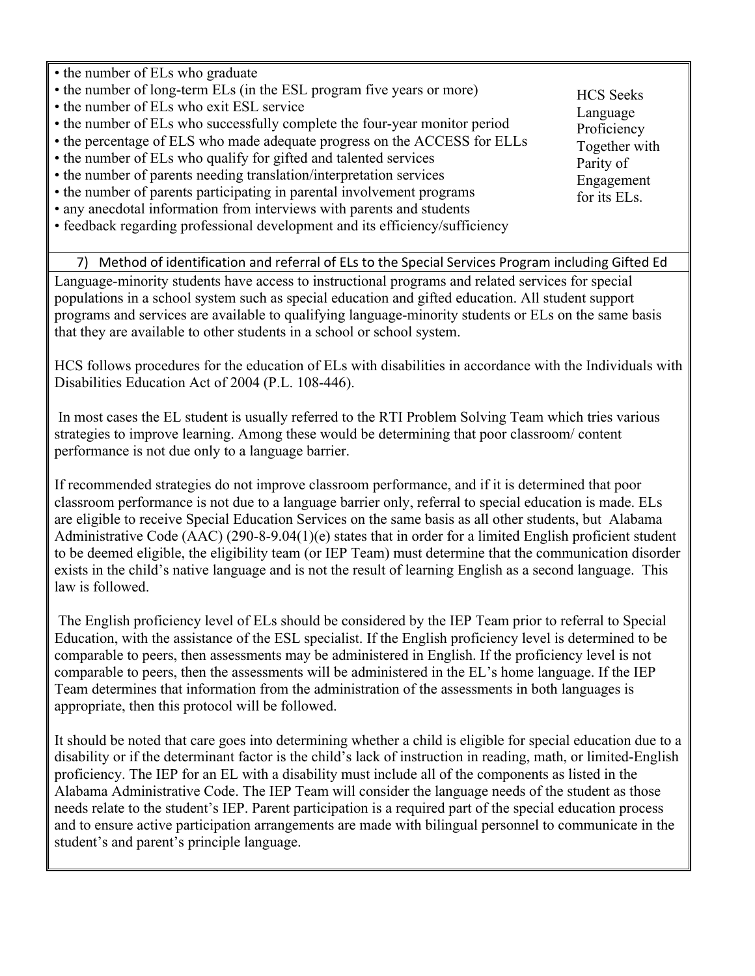- the number of ELs who graduate • the number of long-term ELs (in the ESL program five years or more)
- the number of ELs who exit ESL service
- the number of ELs who successfully complete the four-year monitor period
- the percentage of ELS who made adequate progress on the ACCESS for ELLs
- the number of ELs who qualify for gifted and talented services
- the number of parents needing translation/interpretation services
- the number of parents participating in parental involvement programs
- any anecdotal information from interviews with parents and students

that they are available to other students in a school or school system.

• feedback regarding professional development and its efficiency/sufficiency

7) Method of identification and referral of ELs to the Special Services Program including Gifted Ed Language-minority students have access to instructional programs and related services for special populations in a school system such as special education and gifted education. All student support programs and services are available to qualifying language-minority students or ELs on the same basis

HCS follows procedures for the education of ELs with disabilities in accordance with the Individuals with Disabilities Education Act of 2004 (P.L. 108-446).

In most cases the EL student is usually referred to the RTI Problem Solving Team which tries various strategies to improve learning. Among these would be determining that poor classroom/ content performance is not due only to a language barrier.

If recommended strategies do not improve classroom performance, and if it is determined that poor classroom performance is not due to a language barrier only, referral to special education is made. ELs are eligible to receive Special Education Services on the same basis as all other students, but Alabama Administrative Code (AAC) (290-8-9.04(1)(e) states that in order for a limited English proficient student to be deemed eligible, the eligibility team (or IEP Team) must determine that the communication disorder exists in the child's native language and is not the result of learning English as a second language. This law is followed.

The English proficiency level of ELs should be considered by the IEP Team prior to referral to Special Education, with the assistance of the ESL specialist. If the English proficiency level is determined to be comparable to peers, then assessments may be administered in English. If the proficiency level is not comparable to peers, then the assessments will be administered in the EL's home language. If the IEP Team determines that information from the administration of the assessments in both languages is appropriate, then this protocol will be followed.

It should be noted that care goes into determining whether a child is eligible for special education due to a disability or if the determinant factor is the child's lack of instruction in reading, math, or limited-English proficiency. The IEP for an EL with a disability must include all of the components as listed in the Alabama Administrative Code. The IEP Team will consider the language needs of the student as those needs relate to the student's IEP. Parent participation is a required part of the special education process and to ensure active participation arrangements are made with bilingual personnel to communicate in the student's and parent's principle language.

HCS Seeks Language Proficiency Together with Parity of Engagement for its ELs.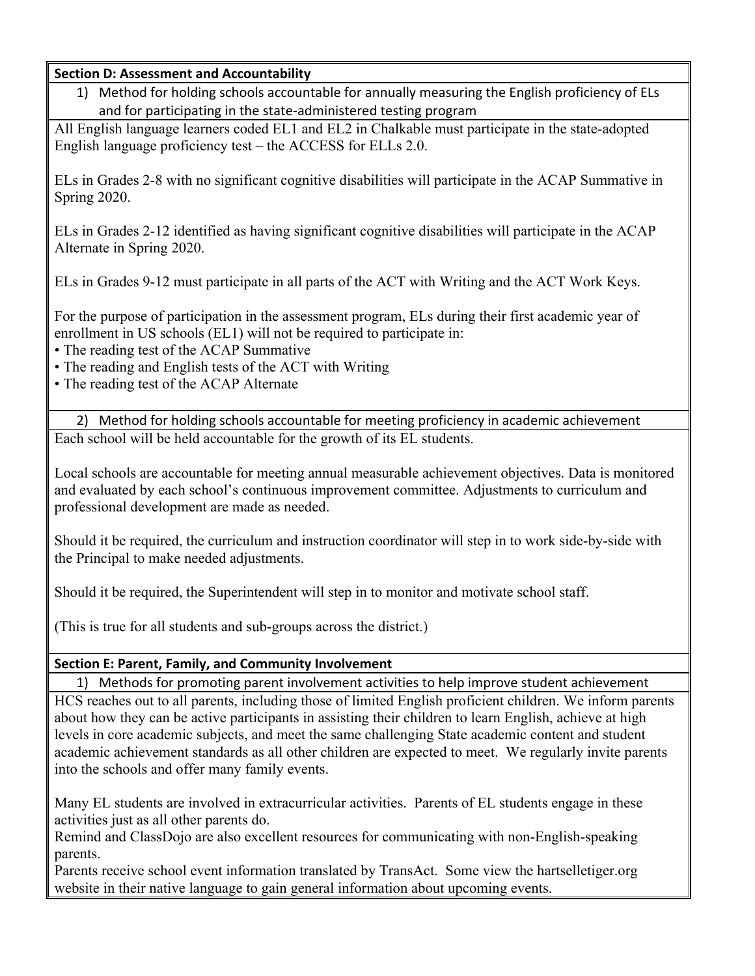## **Section D: Assessment and Accountability**

1) Method for holding schools accountable for annually measuring the English proficiency of ELs and for participating in the state-administered testing program

All English language learners coded EL1 and EL2 in Chalkable must participate in the state-adopted English language proficiency test – the ACCESS for ELLs 2.0.

ELs in Grades 2-8 with no significant cognitive disabilities will participate in the ACAP Summative in Spring 2020.

ELs in Grades 2-12 identified as having significant cognitive disabilities will participate in the ACAP Alternate in Spring 2020.

ELs in Grades 9-12 must participate in all parts of the ACT with Writing and the ACT Work Keys.

For the purpose of participation in the assessment program, ELs during their first academic year of enrollment in US schools (EL1) will not be required to participate in:

- The reading test of the ACAP Summative
- The reading and English tests of the ACT with Writing
- The reading test of the ACAP Alternate

2) Method for holding schools accountable for meeting proficiency in academic achievement Each school will be held accountable for the growth of its EL students.

Local schools are accountable for meeting annual measurable achievement objectives. Data is monitored and evaluated by each school's continuous improvement committee. Adjustments to curriculum and professional development are made as needed.

Should it be required, the curriculum and instruction coordinator will step in to work side-by-side with the Principal to make needed adjustments.

Should it be required, the Superintendent will step in to monitor and motivate school staff.

(This is true for all students and sub-groups across the district.)

## **Section E: Parent, Family, and Community Involvement**

1) Methods for promoting parent involvement activities to help improve student achievement HCS reaches out to all parents, including those of limited English proficient children. We inform parents about how they can be active participants in assisting their children to learn English, achieve at high levels in core academic subjects, and meet the same challenging State academic content and student academic achievement standards as all other children are expected to meet. We regularly invite parents into the schools and offer many family events.

Many EL students are involved in extracurricular activities. Parents of EL students engage in these activities just as all other parents do.

Remind and ClassDojo are also excellent resources for communicating with non-English-speaking parents.

Parents receive school event information translated by TransAct. Some view the hartselletiger.org website in their native language to gain general information about upcoming events.